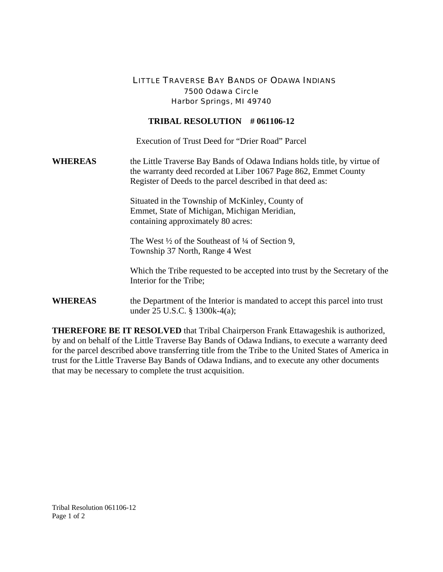## LITTLE TRAVERSE BAY BANDS OF ODAWA INDIANS 7500 Odawa Circle Harbor Springs, MI 49740

## **TRIBAL RESOLUTION # 061106-12**

Execution of Trust Deed for "Drier Road" Parcel

**WHEREAS** the Little Traverse Bay Bands of Odawa Indians holds title, by virtue of the warranty deed recorded at Liber 1067 Page 862, Emmet County Register of Deeds to the parcel described in that deed as:

> Situated in the Township of McKinley, County of Emmet, State of Michigan, Michigan Meridian, containing approximately 80 acres:

The West  $\frac{1}{2}$  of the Southeast of  $\frac{1}{4}$  of Section 9, Township 37 North, Range 4 West

 Which the Tribe requested to be accepted into trust by the Secretary of the Interior for the Tribe;

**WHEREAS** the Department of the Interior is mandated to accept this parcel into trust under 25 U.S.C. § 1300k-4(a);

**THEREFORE BE IT RESOLVED** that Tribal Chairperson Frank Ettawageshik is authorized, by and on behalf of the Little Traverse Bay Bands of Odawa Indians, to execute a warranty deed for the parcel described above transferring title from the Tribe to the United States of America in trust for the Little Traverse Bay Bands of Odawa Indians, and to execute any other documents that may be necessary to complete the trust acquisition.

Tribal Resolution 061106-12 Page 1 of 2